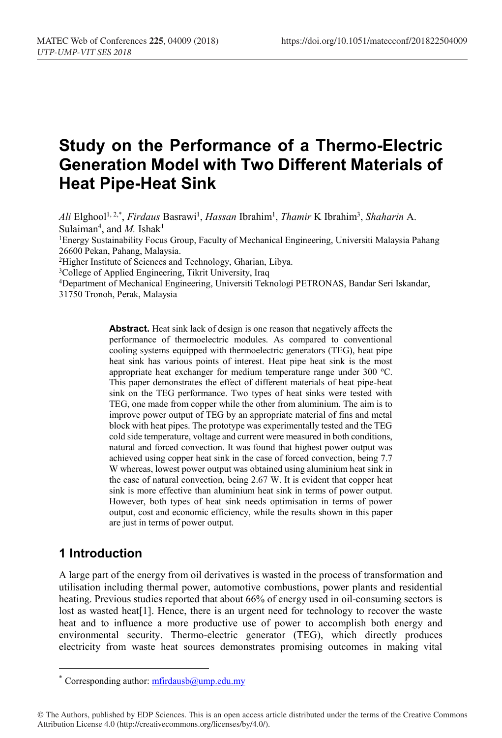# **Study on the Performance of a Thermo-Electric Generation Model with Two Different Materials of Heat Pipe-Heat Sink**

*Ali* Elghool<sup>1,2,\*</sup>, *Firdaus* Basrawi<sup>1</sup>, *Hassan* Ibrahim<sup>1</sup>, *Thamir* K Ibrahim<sup>3</sup>, *Shaharin* A. Sulaiman<sup>4</sup>, and *M*. Ishak<sup>1</sup>

1Energy Sustainability Focus Group, Faculty of Mechanical Engineering, Universiti Malaysia Pahang 26600 Pekan, Pahang, Malaysia.

2Higher Institute of Sciences and Technology, Gharian, Libya.

3College of Applied Engineering, Tikrit University, Iraq

4Department of Mechanical Engineering, Universiti Teknologi PETRONAS, Bandar Seri Iskandar, 31750 Tronoh, Perak, Malaysia

> **Abstract.** Heat sink lack of design is one reason that negatively affects the performance of thermoelectric modules. As compared to conventional cooling systems equipped with thermoelectric generators (TEG), heat pipe heat sink has various points of interest. Heat pipe heat sink is the most appropriate heat exchanger for medium temperature range under  $300 \degree C$ . This paper demonstrates the effect of different materials of heat pipe-heat sink on the TEG performance. Two types of heat sinks were tested with TEG, one made from copper while the other from aluminium. The aim is to improve power output of TEG by an appropriate material of fins and metal block with heat pipes. The prototype was experimentally tested and the TEG cold side temperature, voltage and current were measured in both conditions, natural and forced convection. It was found that highest power output was achieved using copper heat sink in the case of forced convection, being 7.7 W whereas, lowest power output was obtained using aluminium heat sink in the case of natural convection, being 2.67 W. It is evident that copper heat sink is more effective than aluminium heat sink in terms of power output. However, both types of heat sink needs optimisation in terms of power output, cost and economic efficiency, while the results shown in this paper are just in terms of power output.

### **1 Introduction**

A large part of the energy from oil derivatives is wasted in the process of transformation and utilisation including thermal power, automotive combustions, power plants and residential heating. Previous studies reported that about 66% of energy used in oil-consuming sectors is lost as wasted heat[1]. Hence, there is an urgent need for technology to recover the waste heat and to influence a more productive use of power to accomplish both energy and environmental security. Thermo-electric generator (TEG), which directly produces electricity from waste heat sources demonstrates promising outcomes in making vital

<sup>\*</sup> Corresponding author:  $mfrdausb@ump.edu.my$ 

<sup>©</sup> The Authors, published by EDP Sciences. This is an open access article distributed under the terms of the Creative Commons Attribution License 4.0 (http://creativecommons.org/licenses/by/4.0/).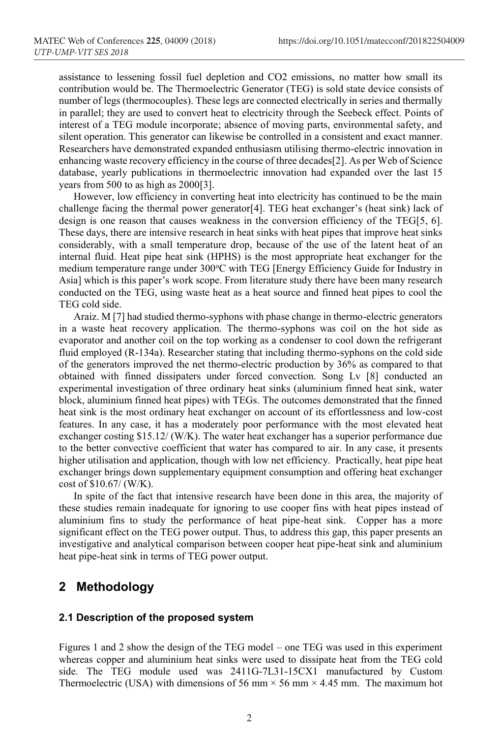assistance to lessening fossil fuel depletion and CO2 emissions, no matter how small its contribution would be. The Thermoelectric Generator (TEG) is sold state device consists of number of legs (thermocouples). These legs are connected electrically in series and thermally in parallel; they are used to convert heat to electricity through the Seebeck effect. Points of interest of a TEG module incorporate; absence of moving parts, environmental safety, and silent operation. This generator can likewise be controlled in a consistent and exact manner. Researchers have demonstrated expanded enthusiasm utilising thermo-electric innovation in enhancing waste recovery efficiency in the course of three decades[2]. As per Web of Science database, yearly publications in thermoelectric innovation had expanded over the last 15 years from 500 to as high as 2000[3].

However, low efficiency in converting heat into electricity has continued to be the main challenge facing the thermal power generator[4]. TEG heat exchanger's (heat sink) lack of design is one reason that causes weakness in the conversion efficiency of the TEG[5, 6]. These days, there are intensive research in heat sinks with heat pipes that improve heat sinks considerably, with a small temperature drop, because of the use of the latent heat of an internal fluid. Heat pipe heat sink (HPHS) is the most appropriate heat exchanger for the medium temperature range under 300°C with TEG [Energy Efficiency Guide for Industry in Asia] which is this paper's work scope. From literature study there have been many research conducted on the TEG, using waste heat as a heat source and finned heat pipes to cool the TEG cold side.

Araiz. M [7] had studied thermo-syphons with phase change in thermo-electric generators in a waste heat recovery application. The thermo-syphons was coil on the hot side as evaporator and another coil on the top working as a condenser to cool down the refrigerant fluid employed (R-134a). Researcher stating that including thermo-syphons on the cold side of the generators improved the net thermo-electric production by 36% as compared to that obtained with finned dissipaters under forced convection. Song Lv [8] conducted an experimental investigation of three ordinary heat sinks (aluminium finned heat sink, water block, aluminium finned heat pipes) with TEGs. The outcomes demonstrated that the finned heat sink is the most ordinary heat exchanger on account of its effortlessness and low-cost features. In any case, it has a moderately poor performance with the most elevated heat exchanger costing \$15.12/ (W/K). The water heat exchanger has a superior performance due to the better convective coefficient that water has compared to air. In any case, it presents higher utilisation and application, though with low net efficiency. Practically, heat pipe heat exchanger brings down supplementary equipment consumption and offering heat exchanger cost of \$10.67/ (W/K).

In spite of the fact that intensive research have been done in this area, the majority of these studies remain inadequate for ignoring to use cooper fins with heat pipes instead of aluminium fins to study the performance of heat pipe-heat sink. Copper has a more significant effect on the TEG power output. Thus, to address this gap, this paper presents an investigative and analytical comparison between cooper heat pipe-heat sink and aluminium heat pipe-heat sink in terms of TEG power output.

### **2 Methodology**

#### **2.1 Description of the proposed system**

Figures 1 and 2 show the design of the TEG model – one TEG was used in this experiment whereas copper and aluminium heat sinks were used to dissipate heat from the TEG cold side. The TEG module used was 2411G-7L31-15CX1 manufactured by Custom Thermoelectric (USA) with dimensions of 56 mm  $\times$  56 mm  $\times$  4.45 mm. The maximum hot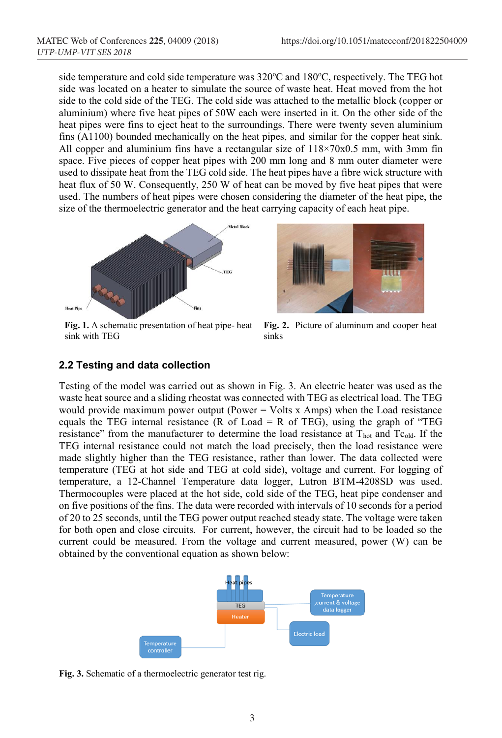side temperature and cold side temperature was 320°C and 180°C, respectively. The TEG hot side was located on a heater to simulate the source of waste heat. Heat moved from the hot side to the cold side of the TEG. The cold side was attached to the metallic block (copper or aluminium) where five heat pipes of 50W each were inserted in it. On the other side of the heat pipes were fins to eject heat to the surroundings. There were twenty seven aluminium fins (A1100) bounded mechanically on the heat pipes, and similar for the copper heat sink. All copper and aluminium fins have a rectangular size of 118×70x0.5 mm, with 3mm fin space. Five pieces of copper heat pipes with 200 mm long and 8 mm outer diameter were used to dissipate heat from the TEG cold side. The heat pipes have a fibre wick structure with heat flux of 50 W. Consequently, 250 W of heat can be moved by five heat pipes that were used. The numbers of heat pipes were chosen considering the diameter of the heat pipe, the size of the thermoelectric generator and the heat carrying capacity of each heat pipe.



**Fig. 1.** A schematic presentation of heat pipe- heat sink with TEG



**Fig. 2.** Picture of aluminum and cooper heat sinks

#### **2.2 Testing and data collection**

Testing of the model was carried out as shown in Fig. 3. An electric heater was used as the waste heat source and a sliding rheostat was connected with TEG as electrical load. The TEG would provide maximum power output (Power  $=$  Volts x Amps) when the Load resistance equals the TEG internal resistance (R of Load  $=$  R of TEG), using the graph of "TEG resistance" from the manufacturer to determine the load resistance at T<sub>hot</sub> and Tc<sub>old</sub>. If the TEG internal resistance could not match the load precisely, then the load resistance were made slightly higher than the TEG resistance, rather than lower. The data collected were temperature (TEG at hot side and TEG at cold side), voltage and current. For logging of temperature, a 12-Channel Temperature data logger, Lutron BTM-4208SD was used. Thermocouples were placed at the hot side, cold side of the TEG, heat pipe condenser and on five positions of the fins. The data were recorded with intervals of 10 seconds for a period of 20 to 25 seconds, until the TEG power output reached steady state. The voltage were taken for both open and close circuits. For current, however, the circuit had to be loaded so the current could be measured. From the voltage and current measured, power (W) can be obtained by the conventional equation as shown below:



**Fig. 3.** Schematic of a thermoelectric generator test rig.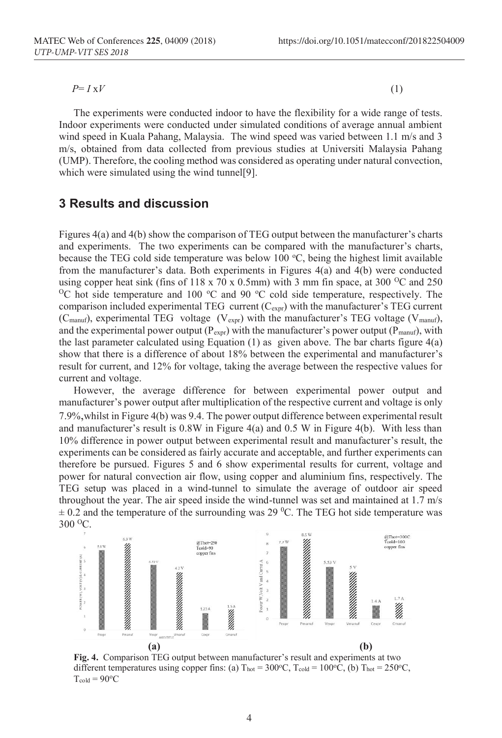$P = I \times V$  (1)

The experiments were conducted indoor to have the flexibility for a wide range of tests. Indoor experiments were conducted under simulated conditions of average annual ambient wind speed in Kuala Pahang, Malaysia. The wind speed was varied between 1.1 m/s and 3 m/s, obtained from data collected from previous studies at Universiti Malaysia Pahang (UMP). Therefore, the cooling method was considered as operating under natural convection, which were simulated using the wind tunnel[9].

### **3 Results and discussion**

Figures 4(a) and 4(b) show the comparison of TEG output between the manufacturer's charts and experiments. The two experiments can be compared with the manufacturer's charts, because the TEG cold side temperature was below 100  $\degree$ C, being the highest limit available from the manufacturer's data. Both experiments in Figures 4(a) and 4(b) were conducted using copper heat sink (fins of 118 x 70 x 0.5mm) with 3 mm fin space, at 300 <sup>o</sup>C and 250 using copper heat sink (fins of 118 x 70 x 0.5mm) with 3 mm fin space, at 300 <sup>o</sup>C and 250 <sup>o</sup>C hot side temperature and 100 <sup>o</sup>C and 90 <sup>o</sup>C cold side temperature, respectively. The comparison included experimental TEG current  $(C_{\text{expr}})$  with the manufacturer's TEG current (C<sub>manuf</sub>), experimental TEG voltage ( $V_{\text{expr}}$ ) with the manufacturer's TEG voltage ( $V_{\text{mannf}}$ ), and the experimental power output ( $P_{\text{expr}}$ ) with the manufacturer's power output ( $P_{\text{manuf}}$ ), with the last parameter calculated using Equation  $(1)$  as given above. The bar charts figure  $4(a)$ show that there is a difference of about 18% between the experimental and manufacturer's result for current, and 12% for voltage, taking the average between the respective values for current and voltage.

However, the average difference for between experimental power output and manufacturer's power output after multiplication of the respective current and voltage is only 7.9%,whilst in Figure 4(b) was 9.4. The power output difference between experimental result and manufacturer's result is 0.8W in Figure 4(a) and 0.5 W in Figure 4(b). With less than 10% difference in power output between experimental result and manufacturer's result, the experiments can be considered as fairly accurate and acceptable, and further experiments can therefore be pursued. Figures 5 and 6 show experimental results for current, voltage and power for natural convection air flow, using copper and aluminium fins, respectively. The TEG setup was placed in a wind-tunnel to simulate the average of outdoor air speed throughout the year. The air speed inside the wind-tunnel was set and maintained at 1.7 m/s  $\pm$  0.2 and the temperature of the surrounding was 29 <sup>o</sup>C. The TEG hot side temperature was 300 OC.



**Fig. 4.** Comparison TEG output between manufacturer's result and experiments at two different temperatures using copper fins: (a) T<sub>hot</sub> = 300°C, T<sub>cold</sub> = 100°C, (b) T<sub>hot</sub> = 250°C,  $T_{cold} = 90$ <sup>o</sup>C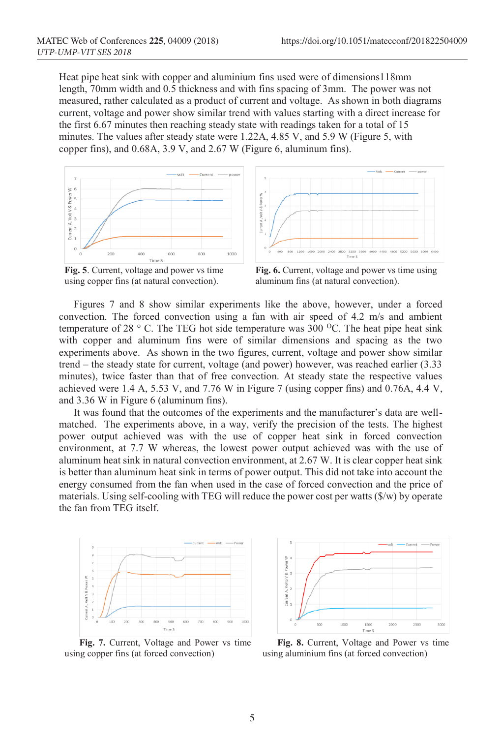Heat pipe heat sink with copper and aluminium fins used were of dimensions118mm length, 70mm width and 0.5 thickness and with fins spacing of 3mm. The power was not measured, rather calculated as a product of current and voltage. As shown in both diagrams current, voltage and power show similar trend with values starting with a direct increase for the first 6.67 minutes then reaching steady state with readings taken for a total of 15 minutes. The values after steady state were 1.22A, 4.85 V, and 5.9 W (Figure 5, with copper fins), and 0.68A, 3.9 V, and 2.67 W (Figure 6, aluminum fins).





**Fig. 5**. Current, voltage and power vs time using copper fins (at natural convection).

**Fig. 6.** Current, voltage and power vs time using aluminum fins (at natural convection).

Figures 7 and 8 show similar experiments like the above, however, under a forced convection. The forced convection using a fan with air speed of 4.2 m/s and ambient temperature of 28  $\degree$  C. The TEG hot side temperature was 300  $\degree$ C. The heat pipe heat sink with copper and aluminum fins were of similar dimensions and spacing as the two experiments above. As shown in the two figures, current, voltage and power show similar trend – the steady state for current, voltage (and power) however, was reached earlier (3.33 minutes), twice faster than that of free convection. At steady state the respective values achieved were 1.4 A, 5.53 V, and 7.76 W in Figure 7 (using copper fins) and 0.76A, 4.4 V, and 3.36 W in Figure 6 (aluminum fins).

It was found that the outcomes of the experiments and the manufacturer's data are wellmatched. The experiments above, in a way, verify the precision of the tests. The highest power output achieved was with the use of copper heat sink in forced convection environment, at 7.7 W whereas, the lowest power output achieved was with the use of aluminum heat sink in natural convection environment, at 2.67 W. It is clear copper heat sink is better than aluminum heat sink in terms of power output. This did not take into account the energy consumed from the fan when used in the case of forced convection and the price of materials. Using self-cooling with TEG will reduce the power cost per watts (\$/w) by operate the fan from TEG itself.



**Fig. 7.** Current, Voltage and Power vs time using copper fins (at forced convection)



**Fig. 8.** Current, Voltage and Power vs time using aluminium fins (at forced convection)